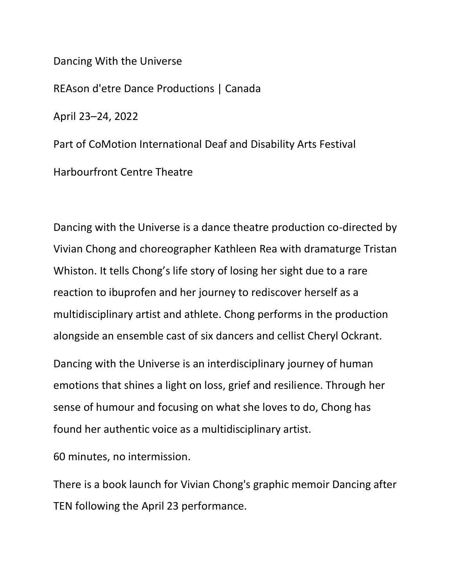Dancing With the Universe REAson d'etre Dance Productions | Canada April 23–24, 2022 Part of CoMotion International Deaf and Disability Arts Festival Harbourfront Centre Theatre

Dancing with the Universe is a dance theatre production co-directed by Vivian Chong and choreographer Kathleen Rea with dramaturge Tristan Whiston. It tells Chong's life story of losing her sight due to a rare reaction to ibuprofen and her journey to rediscover herself as a multidisciplinary artist and athlete. Chong performs in the production alongside an ensemble cast of six dancers and cellist Cheryl Ockrant.

Dancing with the Universe is an interdisciplinary journey of human emotions that shines a light on loss, grief and resilience. Through her sense of humour and focusing on what she loves to do, Chong has found her authentic voice as a multidisciplinary artist.

60 minutes, no intermission.

There is a book launch for Vivian Chong's graphic memoir Dancing after TEN following the April 23 performance.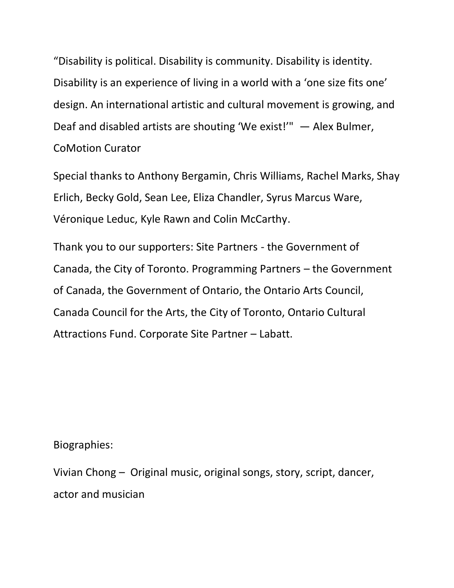"Disability is political. Disability is community. Disability is identity. Disability is an experience of living in a world with a 'one size fits one' design. An international artistic and cultural movement is growing, and Deaf and disabled artists are shouting 'We exist!'" — Alex Bulmer, CoMotion Curator

Special thanks to Anthony Bergamin, Chris Williams, Rachel Marks, Shay Erlich, Becky Gold, Sean Lee, Eliza Chandler, Syrus Marcus Ware, Véronique Leduc, Kyle Rawn and Colin McCarthy.

Thank you to our supporters: Site Partners - the Government of Canada, the City of Toronto. Programming Partners – the Government of Canada, the Government of Ontario, the Ontario Arts Council, Canada Council for the Arts, the City of Toronto, Ontario Cultural Attractions Fund. Corporate Site Partner – Labatt.

Biographies:

Vivian Chong – Original music, original songs, story, script, dancer, actor and musician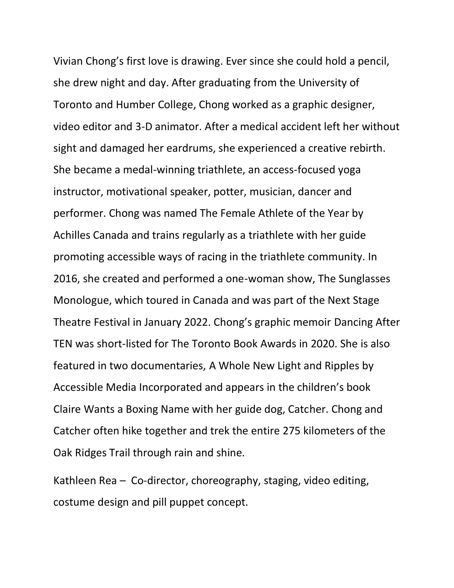Vivian Chong's first love is drawing. Ever since she could hold a pencil, she drew night and day. After graduating from the University of Toronto and Humber College, Chong worked as a graphic designer, video editor and 3-D animator. After a medical accident left her without sight and damaged her eardrums, she experienced a creative rebirth. She became a medal-winning triathlete, an access-focused yoga instructor, motivational speaker, potter, musician, dancer and performer. Chong was named The Female Athlete of the Year by Achilles Canada and trains regularly as a triathlete with her guide promoting accessible ways of racing in the triathlete community. In 2016, she created and performed a one-woman show, The Sunglasses Monologue, which toured in Canada and was part of the Next Stage Theatre Festival in January 2022. Chong's graphic memoir Dancing After TEN was short-listed for The Toronto Book Awards in 2020. She is also featured in two documentaries, A Whole New Light and Ripples by Accessible Media Incorporated and appears in the children's book Claire Wants a Boxing Name with her guide dog, Catcher. Chong and Catcher often hike together and trek the entire 275 kilometers of the Oak Ridges Trail through rain and shine.

Kathleen Rea – Co-director, choreography, staging, video editing, costume design and pill puppet concept.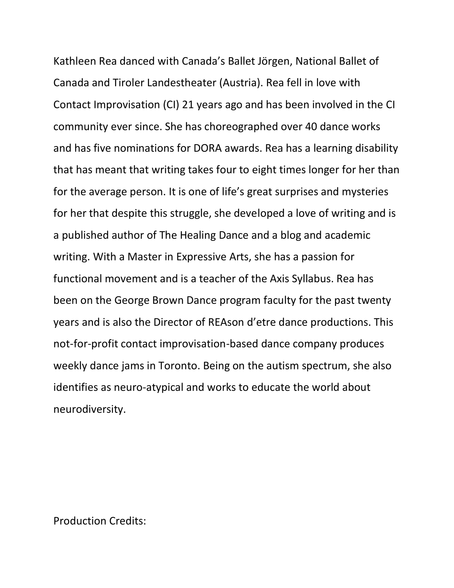Kathleen Rea danced with Canada's Ballet Jörgen, National Ballet of Canada and Tiroler Landestheater (Austria). Rea fell in love with Contact Improvisation (CI) 21 years ago and has been involved in the CI community ever since. She has choreographed over 40 dance works and has five nominations for DORA awards. Rea has a learning disability that has meant that writing takes four to eight times longer for her than for the average person. It is one of life's great surprises and mysteries for her that despite this struggle, she developed a love of writing and is a published author of The Healing Dance and a blog and academic writing. With a Master in Expressive Arts, she has a passion for functional movement and is a teacher of the Axis Syllabus. Rea has been on the George Brown Dance program faculty for the past twenty years and is also the Director of REAson d'etre dance productions. This not-for-profit contact improvisation-based dance company produces weekly dance jams in Toronto. Being on the autism spectrum, she also identifies as neuro-atypical and works to educate the world about neurodiversity.

Production Credits: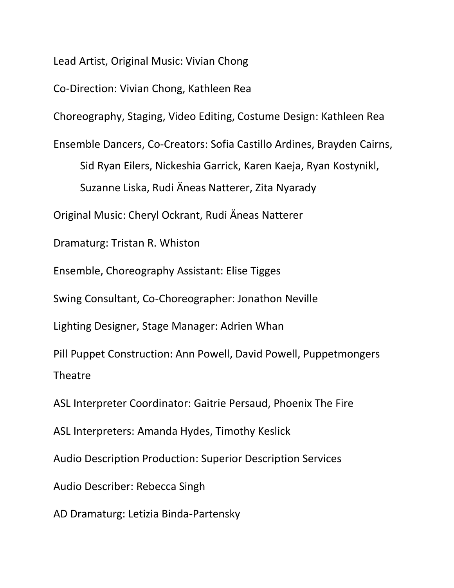Lead Artist, Original Music: Vivian Chong

Co-Direction: Vivian Chong, Kathleen Rea

Choreography, Staging, Video Editing, Costume Design: Kathleen Rea

Ensemble Dancers, Co-Creators: Sofia Castillo Ardines, Brayden Cairns, Sid Ryan Eilers, Nickeshia Garrick, Karen Kaeja, Ryan Kostynikl, Suzanne Liska, Rudi Äneas Natterer, Zita Nyarady

Original Music: Cheryl Ockrant, Rudi Äneas Natterer

Dramaturg: Tristan R. Whiston

Ensemble, Choreography Assistant: Elise Tigges

Swing Consultant, Co-Choreographer: Jonathon Neville

Lighting Designer, Stage Manager: Adrien Whan

Pill Puppet Construction: Ann Powell, David Powell, Puppetmongers Theatre

ASL Interpreter Coordinator: Gaitrie Persaud, Phoenix The Fire

ASL Interpreters: Amanda Hydes, Timothy Keslick

Audio Description Production: Superior Description Services

Audio Describer: Rebecca Singh

AD Dramaturg: Letizia Binda-Partensky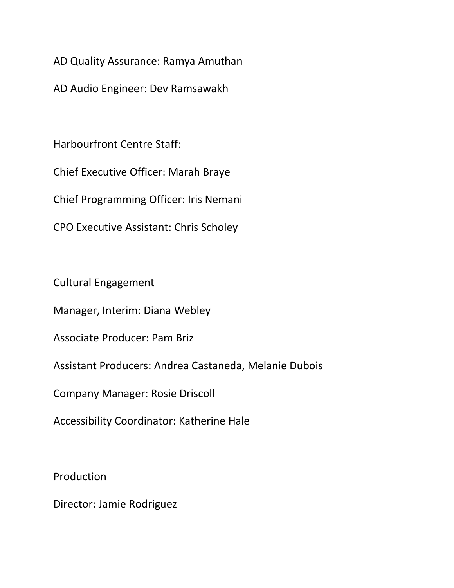AD Quality Assurance: Ramya Amuthan

AD Audio Engineer: Dev Ramsawakh

Harbourfront Centre Staff:

Chief Executive Officer: Marah Braye

Chief Programming Officer: Iris Nemani

CPO Executive Assistant: Chris Scholey

Cultural Engagement

Manager, Interim: Diana Webley

Associate Producer: Pam Briz

Assistant Producers: Andrea Castaneda, Melanie Dubois

Company Manager: Rosie Driscoll

Accessibility Coordinator: Katherine Hale

Production

Director: Jamie Rodriguez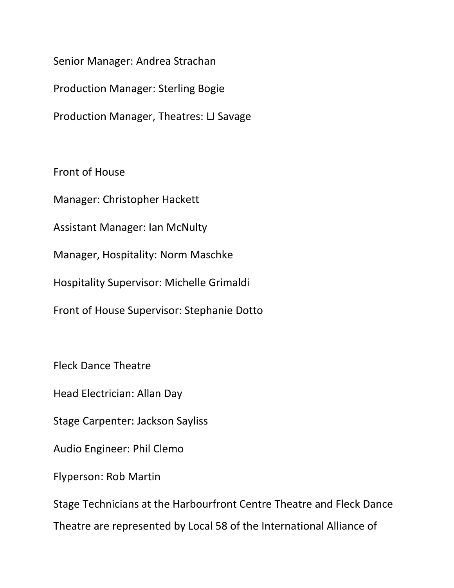Senior Manager: Andrea Strachan

Production Manager: Sterling Bogie

Production Manager, Theatres: LJ Savage

Front of House

Manager: Christopher Hackett

Assistant Manager: Ian McNulty

Manager, Hospitality: Norm Maschke

Hospitality Supervisor: Michelle Grimaldi

Front of House Supervisor: Stephanie Dotto

Fleck Dance Theatre

Head Electrician: Allan Day

Stage Carpenter: Jackson Sayliss

Audio Engineer: Phil Clemo

Flyperson: Rob Martin

Stage Technicians at the Harbourfront Centre Theatre and Fleck Dance Theatre are represented by Local 58 of the International Alliance of